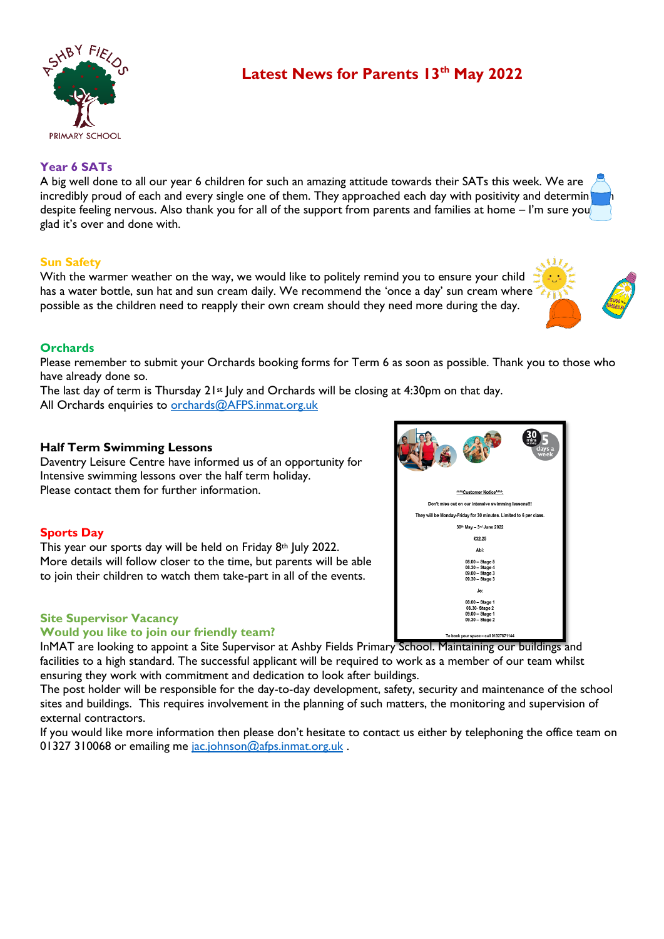

# **Latest News for Parents 13th May 2022**

# **Year 6 SATs**

A big well done to all our year 6 children for such an amazing attitude towards their SATs this week. We are incredibly proud of each and every single one of them. They approached each day with positivity and determin despite feeling nervous. Also thank you for all of the support from parents and families at home – I'm sure you glad it's over and done with.

## **Sun Safety**

With the warmer weather on the way, we would like to politely remind you to ensure your child has a water bottle, sun hat and sun cream daily. We recommend the 'once a day' sun cream where possible as the children need to reapply their own cream should they need more during the day.

## **Orchards**

Please remember to submit your Orchards booking forms for Term 6 as soon as possible. Thank you to those who have already done so.

The last day of term is Thursday  $21^{st}$  July and Orchards will be closing at 4:30pm on that day. All Orchards enquiries to [orchards@AFPS.inmat.org.uk](mailto:orchards@AFPS.inmat.org.uk)

## **Half Term Swimming Lessons**

Daventry Leisure Centre have informed us of an opportunity for Intensive swimming lessons over the half term holiday. Please contact them for further information.

#### **Sports Day**

This year our sports day will be held on Friday 8th July 2022. More details will follow closer to the time, but parents will be able to join their children to watch them take-part in all of the events.

#### **Site Supervisor Vacancy**

#### **Would you like to join our friendly team?**

InMAT are looking to appoint a Site Supervisor at Ashby Fields Primary School. Maintaining our buildings and facilities to a high standard. The successful applicant will be required to work as a member of our team whilst ensuring they work with commitment and dedication to look after buildings.

The post holder will be responsible for the day-to-day development, safety, security and maintenance of the school sites and buildings. This requires involvement in the planning of such matters, the monitoring and supervision of external contractors.

If you would like more information then please don't hesitate to contact us either by telephoning the office team on 01327 310068 or emailing me [jac.johnson@afps.inmat.org.uk](mailto:jac.johnson@afps.inmat.org.uk).



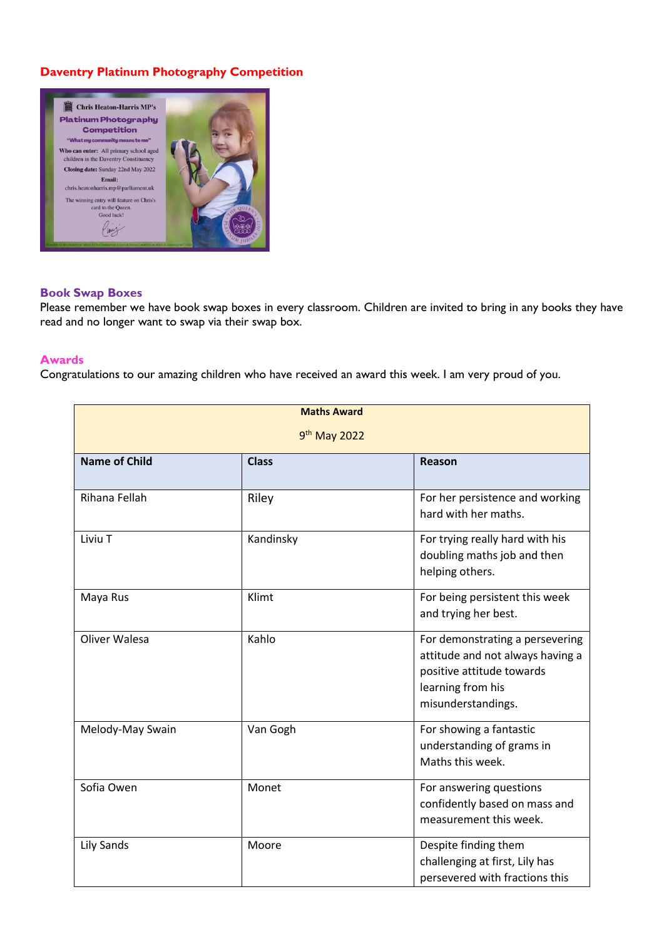# **Daventry Platinum Photography Competition**



#### **Book Swap Boxes**

Please remember we have book swap boxes in every classroom. Children are invited to bring in any books they have read and no longer want to swap via their swap box.

#### **Awards**

Congratulations to our amazing children who have received an award this week. I am very proud of you.

| <b>Maths Award</b>       |              |                                                                                                                                             |  |
|--------------------------|--------------|---------------------------------------------------------------------------------------------------------------------------------------------|--|
| 9 <sup>th</sup> May 2022 |              |                                                                                                                                             |  |
| <b>Name of Child</b>     | <b>Class</b> | Reason                                                                                                                                      |  |
| Rihana Fellah            | Riley        | For her persistence and working<br>hard with her maths.                                                                                     |  |
| Liviu T                  | Kandinsky    | For trying really hard with his<br>doubling maths job and then<br>helping others.                                                           |  |
| Maya Rus                 | Klimt        | For being persistent this week<br>and trying her best.                                                                                      |  |
| Oliver Walesa            | Kahlo        | For demonstrating a persevering<br>attitude and not always having a<br>positive attitude towards<br>learning from his<br>misunderstandings. |  |
| Melody-May Swain         | Van Gogh     | For showing a fantastic<br>understanding of grams in<br>Maths this week.                                                                    |  |
| Sofia Owen               | Monet        | For answering questions<br>confidently based on mass and<br>measurement this week.                                                          |  |
| <b>Lily Sands</b>        | Moore        | Despite finding them<br>challenging at first, Lily has<br>persevered with fractions this                                                    |  |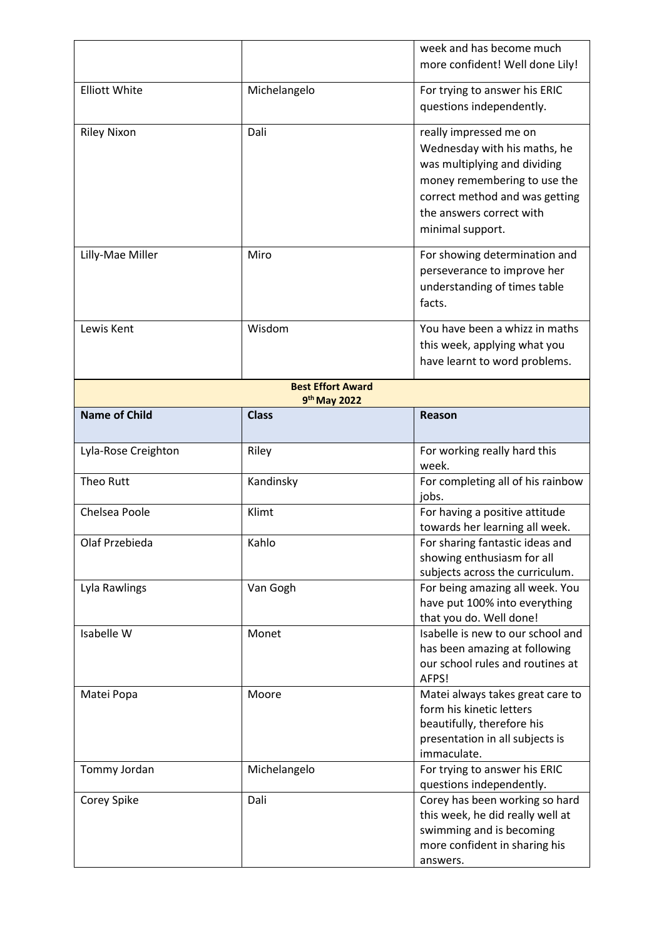|                                          |              | week and has become much<br>more confident! Well done Lily!                                                                                                                                              |  |  |
|------------------------------------------|--------------|----------------------------------------------------------------------------------------------------------------------------------------------------------------------------------------------------------|--|--|
| <b>Elliott White</b>                     | Michelangelo | For trying to answer his ERIC<br>questions independently.                                                                                                                                                |  |  |
| <b>Riley Nixon</b>                       | Dali         | really impressed me on<br>Wednesday with his maths, he<br>was multiplying and dividing<br>money remembering to use the<br>correct method and was getting<br>the answers correct with<br>minimal support. |  |  |
| Lilly-Mae Miller                         | Miro         | For showing determination and<br>perseverance to improve her<br>understanding of times table<br>facts.                                                                                                   |  |  |
| Lewis Kent                               | Wisdom       | You have been a whizz in maths<br>this week, applying what you<br>have learnt to word problems.                                                                                                          |  |  |
| <b>Best Effort Award</b><br>9th May 2022 |              |                                                                                                                                                                                                          |  |  |
| <b>Name of Child</b>                     | <b>Class</b> | <b>Reason</b>                                                                                                                                                                                            |  |  |
| Lyla-Rose Creighton                      | Riley        | For working really hard this<br>week.                                                                                                                                                                    |  |  |
| Theo Rutt                                | Kandinsky    | For completing all of his rainbow<br>jobs.                                                                                                                                                               |  |  |
| Chelsea Poole                            | Klimt        | For having a positive attitude<br>towards her learning all week.                                                                                                                                         |  |  |
| Olaf Przebieda                           | Kahlo        | For sharing fantastic ideas and<br>showing enthusiasm for all<br>subjects across the curriculum.                                                                                                         |  |  |
| Lyla Rawlings                            | Van Gogh     | For being amazing all week. You<br>have put 100% into everything<br>that you do. Well done!                                                                                                              |  |  |
| Isabelle W                               | Monet        | Isabelle is new to our school and<br>has been amazing at following<br>our school rules and routines at<br>AFPS!                                                                                          |  |  |
| Matei Popa                               | Moore        | Matei always takes great care to<br>form his kinetic letters<br>beautifully, therefore his<br>presentation in all subjects is<br>immaculate.                                                             |  |  |
| Tommy Jordan                             | Michelangelo | For trying to answer his ERIC<br>questions independently.                                                                                                                                                |  |  |
| Corey Spike                              | Dali         | Corey has been working so hard<br>this week, he did really well at<br>swimming and is becoming<br>more confident in sharing his<br>answers.                                                              |  |  |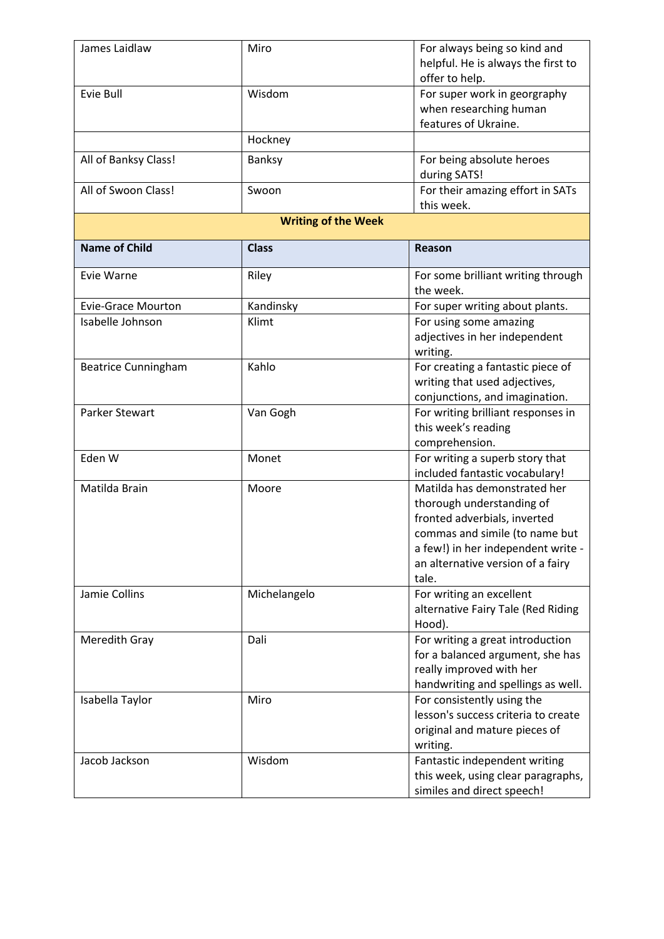| James Laidlaw              | Miro         | For always being so kind and        |  |  |
|----------------------------|--------------|-------------------------------------|--|--|
|                            |              | helpful. He is always the first to  |  |  |
|                            |              | offer to help.                      |  |  |
| Evie Bull                  | Wisdom       | For super work in georgraphy        |  |  |
|                            |              | when researching human              |  |  |
|                            |              | features of Ukraine.                |  |  |
|                            | Hockney      |                                     |  |  |
| All of Banksy Class!       | Banksy       | For being absolute heroes           |  |  |
|                            |              | during SATS!                        |  |  |
| All of Swoon Class!        | Swoon        | For their amazing effort in SATs    |  |  |
|                            |              | this week.                          |  |  |
| <b>Writing of the Week</b> |              |                                     |  |  |
|                            |              |                                     |  |  |
| <b>Name of Child</b>       | <b>Class</b> | Reason                              |  |  |
| Evie Warne                 | Riley        | For some brilliant writing through  |  |  |
|                            |              | the week.                           |  |  |
| <b>Evie-Grace Mourton</b>  | Kandinsky    | For super writing about plants.     |  |  |
| Isabelle Johnson           | Klimt        | For using some amazing              |  |  |
|                            |              | adjectives in her independent       |  |  |
|                            |              | writing.                            |  |  |
| <b>Beatrice Cunningham</b> | Kahlo        | For creating a fantastic piece of   |  |  |
|                            |              | writing that used adjectives,       |  |  |
|                            |              | conjunctions, and imagination.      |  |  |
| Parker Stewart             | Van Gogh     | For writing brilliant responses in  |  |  |
|                            |              | this week's reading                 |  |  |
|                            |              | comprehension.                      |  |  |
| Eden W                     | Monet        | For writing a superb story that     |  |  |
|                            |              | included fantastic vocabulary!      |  |  |
| Matilda Brain              | Moore        | Matilda has demonstrated her        |  |  |
|                            |              | thorough understanding of           |  |  |
|                            |              | fronted adverbials, inverted        |  |  |
|                            |              | commas and simile (to name but      |  |  |
|                            |              | a few!) in her independent write -  |  |  |
|                            |              | an alternative version of a fairy   |  |  |
|                            |              | tale.                               |  |  |
| Jamie Collins              | Michelangelo | For writing an excellent            |  |  |
|                            |              | alternative Fairy Tale (Red Riding  |  |  |
|                            |              | Hood).                              |  |  |
| Meredith Gray              | Dali         | For writing a great introduction    |  |  |
|                            |              | for a balanced argument, she has    |  |  |
|                            |              | really improved with her            |  |  |
|                            |              | handwriting and spellings as well.  |  |  |
| Isabella Taylor            | Miro         | For consistently using the          |  |  |
|                            |              | lesson's success criteria to create |  |  |
|                            |              | original and mature pieces of       |  |  |
|                            |              | writing.                            |  |  |
| Jacob Jackson              | Wisdom       | Fantastic independent writing       |  |  |
|                            |              | this week, using clear paragraphs,  |  |  |
|                            |              | similes and direct speech!          |  |  |
|                            |              |                                     |  |  |